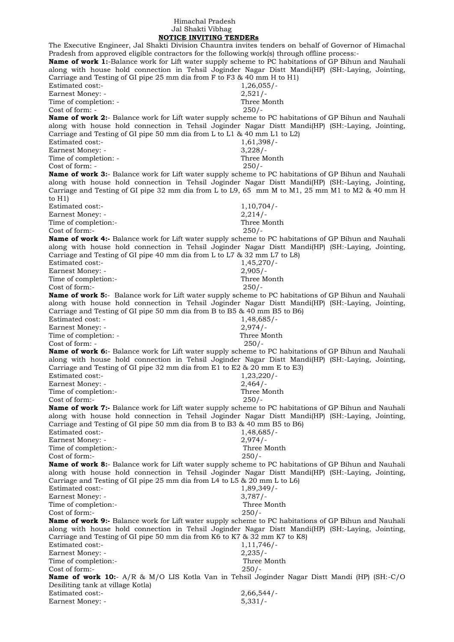## Himachal Pradesh Jal Shakti Vibhag  **NOTICE INVITING TENDERs**

The Executive Engineer, Jal Shakti Division Chauntra invites tenders on behalf of Governor of Himachal Pradesh from approved eligible contractors for the following work(s) through offline process:- **Name of work 1:**-Balance work for Lift water supply scheme to PC habitations of GP Bihun and Nauhali along with house hold connection in Tehsil Joginder Nagar Distt Mandi(HP) (SH:-Laying, Jointing, Carriage and Testing of GI pipe 25 mm dia from F to F3 & 40 mm H to H1) Estimated cost:- 1,26,055/- Earnest Money: - 2,521/-Time of completion: - Three Month  $Cost of form: -250/$ **Name of work 2:**- Balance work for Lift water supply scheme to PC habitations of GP Bihun and Nauhali along with house hold connection in Tehsil Joginder Nagar Distt Mandi(HP) (SH:-Laying, Jointing, Carriage and Testing of GI pipe 50 mm dia from L to L1 & 40 mm L1 to L2) Estimated cost:- 1,61,398/- Earnest Money: - 3,228/-Time of completion: - Three Month Cost of form: - 250/- **Name of work 3:**- Balance work for Lift water supply scheme to PC habitations of GP Bihun and Nauhali along with house hold connection in Tehsil Joginder Nagar Distt Mandi(HP) (SH:-Laying, Jointing, Carriage and Testing of GI pipe 32 mm dia from L to L9, 65 mm M to M1, 25 mm M1 to M2 & 40 mm H to H1) Estimated cost:-<br>Earnest Money: - 2,214/-Earnest Money: -Time of completion:- Three Month Cost of form:- 250/- **Name of work 4:-** Balance work for Lift water supply scheme to PC habitations of GP Bihun and Nauhali along with house hold connection in Tehsil Joginder Nagar Distt Mandi(HP) (SH:-Laying, Jointing, Carriage and Testing of GI pipe 40 mm dia from L to L7 & 32 mm L7 to L8) Estimated cost:- 1,45,270/-Earnest Money: - 2,905/-Time of completion:- Three Month Cost of form:- 250/- **Name of work 5:**- Balance work for Lift water supply scheme to PC habitations of GP Bihun and Nauhali along with house hold connection in Tehsil Joginder Nagar Distt Mandi(HP) (SH:-Laying, Jointing, Carriage and Testing of GI pipe 50 mm dia from B to B5 & 40 mm B5 to B6) Estimated cost: - 1,48,685/-Earnest Money: - 2,974/-Time of completion: - Three Month Cost of form: - 250/- **Name of work 6:**- Balance work for Lift water supply scheme to PC habitations of GP Bihun and Nauhali along with house hold connection in Tehsil Joginder Nagar Distt Mandi(HP) (SH:-Laying, Jointing, Carriage and Testing of GI pipe 32 mm dia from E1 to E2 & 20 mm E to E3) Estimated cost:- 1,23,220/-Earnest Money: - 2,464/- Time of completion:- Three Month Cost of form:- 250/- **Name of work 7:-** Balance work for Lift water supply scheme to PC habitations of GP Bihun and Nauhali along with house hold connection in Tehsil Joginder Nagar Distt Mandi(HP) (SH:-Laying, Jointing, Carriage and Testing of GI pipe 50 mm dia from B to B3 & 40 mm B5 to B6) Estimated cost:- 1,48,685/- Earnest Money: - 2,974/-<br>Time of completion:- 2,974/-<br>Three Month Time of completion:- $Cost of form: 250/$ **Name of work 8:**- Balance work for Lift water supply scheme to PC habitations of GP Bihun and Nauhali along with house hold connection in Tehsil Joginder Nagar Distt Mandi(HP) (SH:-Laying, Jointing, Carriage and Testing of GI pipe 25 mm dia from L4 to L5 & 20 mm L to L6) Estimated cost:-<br>Earnest Money: -<br>3,787/-Earnest Money: -Time of completion:- Three Month Cost of form:- 250/- **Name of work 9:-** Balance work for Lift water supply scheme to PC habitations of GP Bihun and Nauhali along with house hold connection in Tehsil Joginder Nagar Distt Mandi(HP) (SH:-Laying, Jointing, Carriage and Testing of GI pipe 50 mm dia from K6 to K7 & 32 mm K7 to K8) Estimated cost:- 1,11,746/-Earnest Money: - 2,235/-Time of completion:- Three Month Cost of form:- 250/- **Name of work 10:**- A/R & M/O LIS Kotla Van in Tehsil Joginder Nagar Distt Mandi (HP) (SH:-C/O Desiliting tank at village Kotla) Estimated cost:- 2,66,544/- Earnest Money: - 5,331/-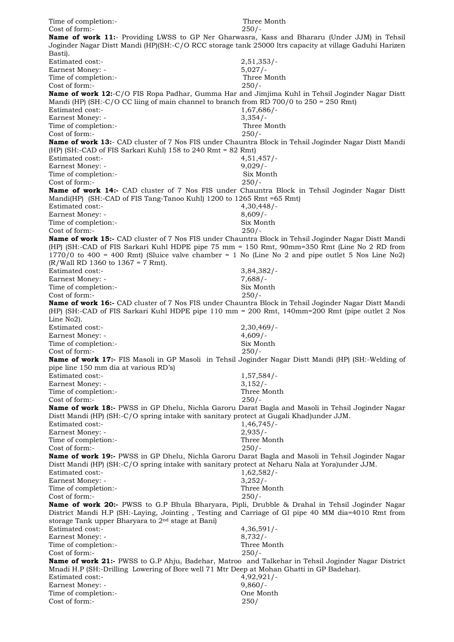| Time of completion:-<br>Cost of form:-                                                                                                                                                                                      | Three Month<br>$250/-$    |
|-----------------------------------------------------------------------------------------------------------------------------------------------------------------------------------------------------------------------------|---------------------------|
| Name of work 11:- Providing LWSS to GP Ner Gharwasra, Kass and Bhararu (Under JJM) in Tehsil<br>Joginder Nagar Distt Mandi (HP)(SH:-C/O RCC storage tank 25000 ltrs capacity at village Gaduhi Harizen                      |                           |
| Basti).<br>Estimated cost:-                                                                                                                                                                                                 | $2,51,353/$ -             |
| Earnest Money: -                                                                                                                                                                                                            | $5,027/-$                 |
| Time of completion:-<br>Cost of form:-                                                                                                                                                                                      | Three Month<br>$250/-$    |
| Name of work 12:-C/O FIS Ropa Padhar, Gumma Har and Jimjima Kuhl in Tehsil Joginder Nagar Distt<br>Mandi (HP) (SH:-C/O CC liing of main channel to branch from RD 700/0 to $250 = 250$ Rmt)                                 |                           |
| Estimated cost:-                                                                                                                                                                                                            | $1,67,686/-$              |
| Earnest Money: -<br>Time of completion:-                                                                                                                                                                                    | $3,354/-$<br>Three Month  |
| Cost of form:-                                                                                                                                                                                                              | $250/-$                   |
| Name of work 13:- CAD cluster of 7 Nos FIS under Chauntra Block in Tehsil Joginder Nagar Distt Mandi                                                                                                                        |                           |
| (HP) (SH:-CAD of FIS Sarkari Kuhl) $158$ to $240$ Rmt = $82$ Rmt)<br>Estimated cost:-                                                                                                                                       |                           |
| Earnest Money: -                                                                                                                                                                                                            | 4,51,457/<br>$9,029/-$    |
| Time of completion:-                                                                                                                                                                                                        | Six Month                 |
| Cost of form:-                                                                                                                                                                                                              | $250/-$                   |
| <b>Name of work 14:-</b> CAD cluster of 7 Nos FIS under Chauntra Block in Tehsil Joginder Nagar Distt<br>Mandi(HP) (SH:-CAD of FIS Tang-Tanoo Kuhl) 1200 to 1265 Rmt = 65 Rmt)                                              |                           |
| Estimated cost:-                                                                                                                                                                                                            | 4,30,448/                 |
| Earnest Money: -                                                                                                                                                                                                            | $8,609/-$                 |
| Time of completion:-<br>Cost of form:-                                                                                                                                                                                      | Six Month<br>$250/-$      |
| Name of work 15:- CAD cluster of 7 Nos FIS under Chauntra Block in Tehsil Joginder Nagar Distt Mandi                                                                                                                        |                           |
| (HP) (SH:-CAD of FIS Sarkari Kuhl HDPE pipe 75 mm = 150 Rmt, 90mm=350 Rmt (Line No 2 RD from                                                                                                                                |                           |
| $1770/0$ to 400 = 400 Rmt) (Sluice valve chamber = 1 No (Line No 2 and pipe outlet 5 Nos Line No2)                                                                                                                          |                           |
| $(R/Wall RD 1360 to 1367 = 7 Rmt).$<br><b>Estimated cost:-</b>                                                                                                                                                              | $3,84,382/-$              |
| Earnest Money: -                                                                                                                                                                                                            | $7,688/-$                 |
| Time of completion:-                                                                                                                                                                                                        | Six Month                 |
| Cost of form:-                                                                                                                                                                                                              | $250/-$                   |
| <b>Name of work 16:-</b> CAD cluster of 7 Nos FIS under Chauntra Block in Tehsil Joginder Nagar Distt Mandi<br>(HP) (SH:-CAD of FIS Sarkari Kuhl HDPE pipe 110 mm = 200 Rmt, 140mm=200 Rmt (pipe outlet 2 Nos<br>Line No2). |                           |
| Estimated cost:-                                                                                                                                                                                                            | $2,30,469/$ -             |
| Earnest Money: -                                                                                                                                                                                                            | $4,609/-$                 |
| Time of completion:-<br>Cost of form:-                                                                                                                                                                                      | Six Month<br>$250/-$      |
| Name of work 17:- FIS Masoli in GP Masoli in Tehsil Joginder Nagar Distt Mandi (HP) (SH:-Welding of<br>pipe line 150 mm dia at various RD's)                                                                                |                           |
| Estimated cost:-                                                                                                                                                                                                            | $1,57,584/-$              |
| Earnest Money: -                                                                                                                                                                                                            | $3,152/-$                 |
| Time of completion:-<br>Cost of form:-                                                                                                                                                                                      | Three Month<br>$250/-$    |
| Name of work 18:- PWSS in GP Dhelu, Nichla Garoru Darat Bagla and Masoli in Tehsil Joginder Nagar                                                                                                                           |                           |
| Distt Mandi (HP) (SH:-C/O spring intake with sanitary protect at Gugali Khad)under JJM.                                                                                                                                     |                           |
| Estimated cost:-<br>Earnest Money: -                                                                                                                                                                                        | $1,46,745/-$<br>$2,935/-$ |
| Time of completion:-                                                                                                                                                                                                        | Three Month               |
| Cost of form:-                                                                                                                                                                                                              | $250/-$                   |
| Name of work 19:- PWSS in GP Dhelu, Nichla Garoru Darat Bagla and Masoli in Tehsil Joginder Nagar                                                                                                                           |                           |
| Distt Mandi (HP) (SH:-C/O spring intake with sanitary protect at Neharu Nala at Yora)under JJM.<br>Estimated cost:-                                                                                                         | $1,62,582/-$              |
| Earnest Money: -                                                                                                                                                                                                            | $3,252/-$                 |
| Time of completion:-                                                                                                                                                                                                        | Three Month               |
| Cost of form:-<br>Name of work 20:- PWSS to G.P Bhula Bharyara, Pipli, Drubble & Drahal in Tehsil Joginder Nagar                                                                                                            | $250/-$                   |
| District Mandi H.P (SH:-Laying, Jointing, Testing and Carriage of GI pipe 40 MM dia=4010 Rmt from<br>storage Tank upper Bharyara to 2 <sup>nd</sup> stage at Bani)                                                          |                           |
| Estimated cost:-                                                                                                                                                                                                            | $4,36,591/-$              |
| Earnest Money: -                                                                                                                                                                                                            | $8,732/-$                 |
| Time of completion:-<br>Cost of form:-                                                                                                                                                                                      | Three Month<br>$250/-$    |
| <b>Name of work 21:-</b> PWSS to G.P Ahju, Badehar, Matroo and Talkehar in Tehsil Joginder Nagar District                                                                                                                   |                           |
| Mnadi H.P (SH:-Drilling Lowering of Bore well 71 Mtr Deep at Mohan Ghatti in GP Badehar).                                                                                                                                   |                           |
| Estimated cost:-<br>Earnest Money: -                                                                                                                                                                                        | $4,92,921/-$<br>$9,860/-$ |
| Time of completion:-                                                                                                                                                                                                        | One Month                 |
| Cost of form:-                                                                                                                                                                                                              | 250/                      |